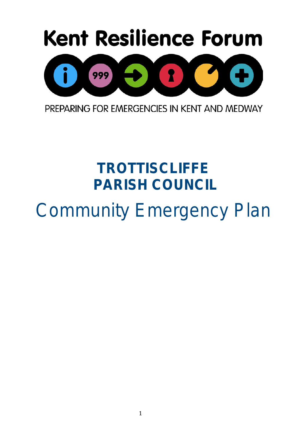

PREPARING FOR EMERGENCIES IN KENT AND MEDWAY

# **TROTTISCLIFFE PARISH COUNCIL**  Community Emergency Plan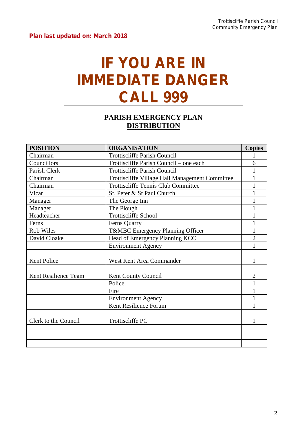## **IF YOU ARE IN IMMEDIATE DANGER CALL 999**

### **PARISH EMERGENCY PLAN DISTRIBUTION**

| <b>POSITION</b>      | <b>ORGANISATION</b>                             | <b>Copies</b>  |
|----------------------|-------------------------------------------------|----------------|
| Chairman             | <b>Trottiscliffe Parish Council</b>             |                |
| Councillors          | Trottiscliffe Parish Council – one each         | 6              |
| Parish Clerk         | <b>Trottiscliffe Parish Council</b>             |                |
| Chairman             | Trottiscliffe Village Hall Management Committee | 1              |
| Chairman             | <b>Trottiscliffe Tennis Club Committee</b>      |                |
| Vicar                | St. Peter & St Paul Church                      |                |
| Manager              | The George Inn                                  |                |
| Manager              | The Plough                                      |                |
| Headteacher          | <b>Trottiscliffe School</b>                     |                |
| Ferns                | Ferns Quarry                                    |                |
| Rob Wiles            | T&MBC Emergency Planning Officer                | 1              |
| David Cloake         | Head of Emergency Planning KCC                  | $\overline{2}$ |
|                      | <b>Environment Agency</b>                       | 1              |
|                      |                                                 |                |
| Kent Police          | West Kent Area Commander                        | 1              |
|                      |                                                 |                |
| Kent Resilience Team | Kent County Council                             | $\overline{2}$ |
|                      | Police                                          |                |
|                      | Fire                                            | 1              |
|                      | <b>Environment Agency</b>                       | 1              |
|                      | Kent Resilience Forum                           |                |
|                      |                                                 |                |
| Clerk to the Council | <b>Trottiscliffe PC</b>                         | 1              |
|                      |                                                 |                |
|                      |                                                 |                |
|                      |                                                 |                |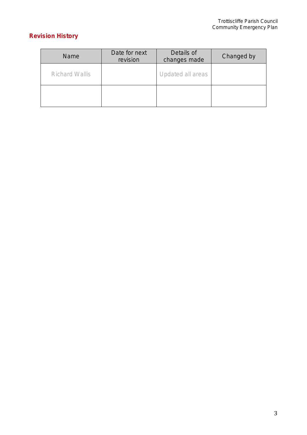### **Revision History**

| <b>Name</b>           | Date for next<br>revision | Details of<br>changes made | Changed by |
|-----------------------|---------------------------|----------------------------|------------|
| <b>Richard Wallis</b> |                           | Updated all areas          |            |
|                       |                           |                            |            |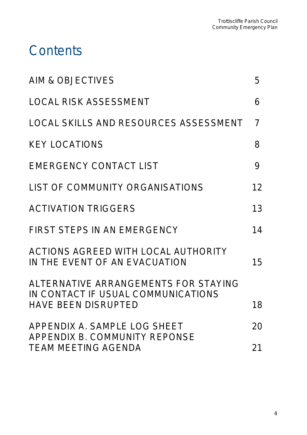### **Contents**

| <b>AIM &amp; OBJECTIVES</b>                                                                              | 5              |
|----------------------------------------------------------------------------------------------------------|----------------|
| <b>LOCAL RISK ASSESSMENT</b>                                                                             | 6              |
| <b>LOCAL SKILLS AND RESOURCES ASSESSMENT</b>                                                             | $\overline{7}$ |
| <b>KEY LOCATIONS</b>                                                                                     | 8              |
| <b>EMERGENCY CONTACT LIST</b>                                                                            | 9              |
| <b>LIST OF COMMUNITY ORGANISATIONS</b>                                                                   | 12             |
| <b>ACTIVATION TRIGGERS</b>                                                                               | 13             |
| <b>FIRST STEPS IN AN EMERGENCY</b>                                                                       | 14             |
| ACTIONS AGREED WITH LOCAL AUTHORITY<br>IN THE EVENT OF AN EVACUATION                                     | 15             |
| ALTERNATIVE ARRANGEMENTS FOR STAYING<br>IN CONTACT IF USUAL COMMUNICATIONS<br><b>HAVE BEEN DISRUPTED</b> | 18             |
| APPENDIX A. SAMPLE LOG SHEET<br><b>APPENDIX B. COMMUNITY REPONSE</b>                                     | 20             |
| <b>TEAM MEETING AGENDA</b>                                                                               | 21             |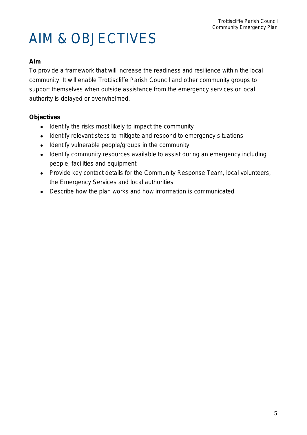# AIM & OBJECTIVES

#### **Aim**

To provide a framework that will increase the readiness and resilience within the local community. It will enable Trottiscliffe Parish Council and other community groups to support themselves when outside assistance from the emergency services or local authority is delayed or overwhelmed.

#### **Objectives**

- Identify the risks most likely to impact the community
- Identify relevant steps to mitigate and respond to emergency situations
- Identify vulnerable people/groups in the community
- Identify community resources available to assist during an emergency including people, facilities and equipment
- Provide key contact details for the Community Response Team, local volunteers, the Emergency Services and local authorities
- Describe how the plan works and how information is communicated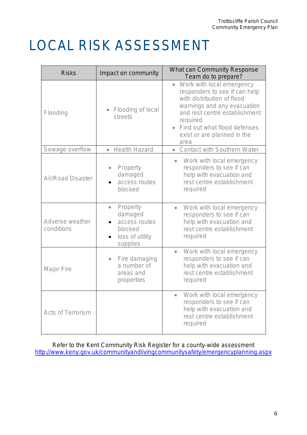# LOCAL RISK ASSESSMENT

| <b>Risks</b><br>Impact on community |                                                                                             | <b>What can Community Response</b><br>Team do to prepare?                                                                                                                                                                                   |
|-------------------------------------|---------------------------------------------------------------------------------------------|---------------------------------------------------------------------------------------------------------------------------------------------------------------------------------------------------------------------------------------------|
| Flooding                            | Flooding of local<br>streets                                                                | Work with local emergency<br>responders to see if can help<br>with distribution of flood<br>warnings and any evacuation<br>and rest centre establishment<br>required<br>Find out what flood defenses<br>exist or are planned in the<br>area |
| Sewage overflow                     | <b>Health Hazard</b><br>$\bullet$                                                           | <b>Contact with Southern Water</b><br>$\bullet$                                                                                                                                                                                             |
| <b>Air/Road Disaster</b>            | Property<br>damaged<br>access routes<br>blocked                                             | Work with local emergency<br>responders to see if can<br>help with evacuation and<br>rest centre establishment<br>required                                                                                                                  |
| Adverse weather<br>conditions       | Property<br>$\bullet$<br>damaged<br>access routes<br>blocked<br>loss of utility<br>supplies | Work with local emergency<br>$\bullet$<br>responders to see if can<br>help with evacuation and<br>rest centre establishment<br>required                                                                                                     |
| <b>Major Fire</b>                   | Fire damaging<br>$\bullet$<br>a number of<br>areas and<br>properties                        | Work with local emergency<br>$\bullet$<br>responders to see if can<br>help with evacuation and<br>rest centre establishment<br>required                                                                                                     |
| <b>Acts of Terrorism</b>            |                                                                                             | Work with local emergency<br>$\bullet$<br>responders to see if can<br>help with evacuation and<br>rest centre establishment<br>required                                                                                                     |

Refer to the Kent Community Risk Register for a county-wide assessment <http://www.keny.gov.uk/communityandlivingcommunitysafety/emergencyplanning.aspx>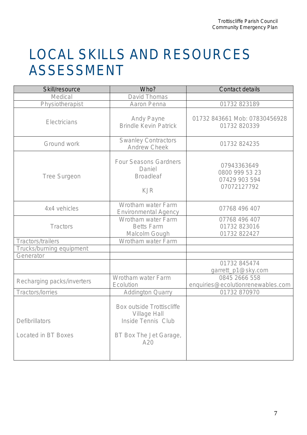## LOCAL SKILLS AND RESOURCES ASSESSMENT

| Skill/resource                               | Who?                                                                                                                  | <b>Contact details</b>                                        |
|----------------------------------------------|-----------------------------------------------------------------------------------------------------------------------|---------------------------------------------------------------|
| <b>Medical</b>                               | <b>David Thomas</b>                                                                                                   |                                                               |
| Physiotherapist                              | <b>Aaron Penna</b>                                                                                                    | 01732 823189                                                  |
| Electricians                                 | <b>Andy Payne</b><br><b>Brindle Kevin Patrick</b>                                                                     | 01732 843661 Mob: 07830456928<br>01732 820339                 |
| Ground work                                  | <b>Swanley Contractors</b><br><b>Andrew Cheek</b>                                                                     | 01732 824235                                                  |
| <b>Tree Surgeon</b>                          | <b>Four Seasons Gardners</b><br>Daniel<br><b>Broadleaf</b><br><b>KJR</b>                                              | 07943363649<br>0800 999 53 23<br>07429 903 594<br>07072127792 |
| 4x4 vehicles                                 | <b>Wrotham water Farm</b><br><b>Environmental Agency</b>                                                              | 07768 496 407                                                 |
| <b>Tractors</b>                              | <b>Wrotham water Farm</b><br><b>Betts Farm</b><br>Malcolm Gough                                                       | 07768 496 407<br>01732 823016<br>01732 822427                 |
| Tractors/trailers                            | <b>Wrotham water Farm</b>                                                                                             |                                                               |
| Trucks/burning equipment                     |                                                                                                                       |                                                               |
| Generator                                    |                                                                                                                       |                                                               |
|                                              |                                                                                                                       | 01732 845474<br>garrett_p1@sky.com                            |
| Recharging packs/inverters                   | <b>Wrotham water Farm</b><br>Ecolution                                                                                | 0845 2666 558<br>enquiries @ecolutionrenewables.com           |
| Tractors/lorries                             | <b>Addington Quarry</b>                                                                                               | 01732 870970                                                  |
| <b>Defibrillators</b><br>Located in BT Boxes | <b>Box outside Trottiscliffe</b><br><b>Village Hall</b><br><b>Inside Tennis Club</b><br>BT Box The Jet Garage,<br>A20 |                                                               |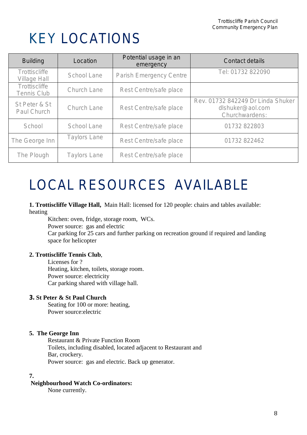## KEY LOCATIONS

| <b>Building</b>                             | Location            | Potential usage in an<br>emergency | Contact details                                                         |
|---------------------------------------------|---------------------|------------------------------------|-------------------------------------------------------------------------|
| <b>Trottiscliffe</b><br><b>Village Hall</b> | <b>School Lane</b>  | <b>Parish Emergency Centre</b>     | Tel: 01732 822090                                                       |
| <b>Trottiscliffe</b><br><b>Tennis Club</b>  | <b>Church Lane</b>  | Rest Centre/safe place             |                                                                         |
| St Peter & St<br><b>Paul Church</b>         | Church Lane         | Rest Centre/safe place             | Rev. 01732 842249 Dr Linda Shuker<br>dlshuker@aol.com<br>Churchwardens: |
| School                                      | School Lane         | Rest Centre/safe place             | 01732 822803                                                            |
| The George Inn                              | <b>Taylors Lane</b> | <b>Rest Centre/safe place</b>      | 01732 822462                                                            |
| The Plough                                  | <b>Taylors Lane</b> | Rest Centre/safe place             |                                                                         |

# LOCAL RESOURCES AVAILABLE

**1. Trottiscliffe Village Hall,** Main Hall: licensed for 120 people: chairs and tables available: heating

Kitchen: oven, fridge, storage room, WCs. Power source: gas and electric Car parking for 25 cars and further parking on recreation ground if required and landing space for helicopter

#### **2. Trottiscliffe Tennis Club**,

Licenses for ? Heating, kitchen, toilets, storage room. Power source: electricity Car parking shared with village hall.

#### **3. St Peter & St Paul Church**

Seating for 100 or more: heating, Power source:electric

#### **5. The George Inn**

Restaurant & Private Function Room Toilets, including disabled, located adjacent to Restaurant and Bar, crockery. Power source: gas and electric. Back up generator.

#### **7.**

#### **Neighbourhood Watch Co-ordinators:**

None currently.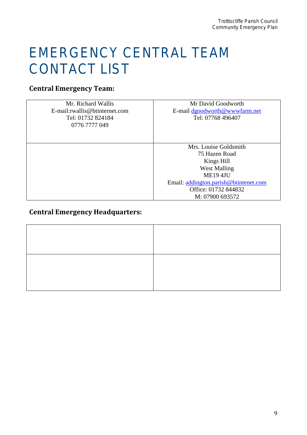## EMERGENCY CENTRAL TEAM CONTACT LIST

### **Central Emergency Team:**

| Mr. Richard Wallis             | Mr David Goodworth                    |
|--------------------------------|---------------------------------------|
| E-mail: rwallis@btinternet.com | E-mail dgoodworth@wwwfarm.net         |
| Tel: 01732 824184              | Tel: 07768 496407                     |
| 0776 7777 049                  |                                       |
|                                |                                       |
|                                |                                       |
|                                | Mrs. Louise Goldsmith                 |
|                                | 75 Hazen Road                         |
|                                | Kings Hill                            |
|                                | <b>West Malling</b>                   |
|                                | <b>ME19 4JU</b>                       |
|                                | Email: addington.parish@btintenet.com |
|                                | Office: 01732 844832                  |
|                                | M: 07900 693572                       |

### **Central Emergency Headquarters:**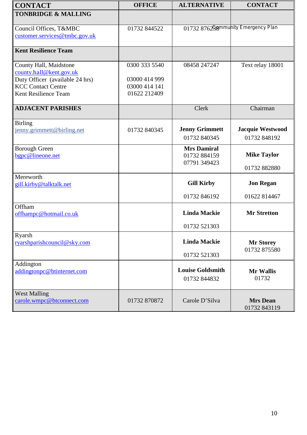| <b>CONTACT</b>                                                                                                                            | <b>OFFICE</b>                                                   | <b>ALTERNATIVE</b>                                 | <b>CONTACT</b>                          |
|-------------------------------------------------------------------------------------------------------------------------------------------|-----------------------------------------------------------------|----------------------------------------------------|-----------------------------------------|
| <b>TONBRIDGE &amp; MALLING</b>                                                                                                            |                                                                 |                                                    |                                         |
| Council Offices, T&MBC<br>customer.services@tmbc.gov.uk                                                                                   | 01732 844522                                                    |                                                    | 01732 876298mmunity Emergency Plan      |
| <b>Kent Resilience Team</b>                                                                                                               |                                                                 |                                                    |                                         |
| County Hall, Maidstone<br>county.hall@kent.gov.uk<br>Duty Officer (available 24 hrs)<br><b>KCC Contact Centre</b><br>Kent Resilience Team | 0300 333 5540<br>03000 414 999<br>03000 414 141<br>01622 212409 | 08458 247247                                       | Text relay 18001                        |
| <b>ADJACENT PARISHES</b>                                                                                                                  |                                                                 | Clerk                                              | Chairman                                |
| <b>Birling</b><br>jenny.grimmett@birling.net                                                                                              | 01732 840345                                                    | <b>Jenny Grimmett</b><br>01732 840345              | <b>Jacquie Westwood</b><br>01732 848192 |
| <b>Borough Green</b><br>bgpc@lineone.net                                                                                                  |                                                                 | <b>Mrs Damiral</b><br>01732 884159<br>07791 349423 | <b>Mike Taylor</b><br>01732 882880      |
| Mereworth<br>gill.kirby@talktalk.net                                                                                                      |                                                                 | <b>Gill Kirby</b>                                  | <b>Jon Regan</b>                        |
|                                                                                                                                           |                                                                 | 01732 846192                                       | 01622 814467                            |
| Offham<br>offhampc@hotmail.co.uk                                                                                                          |                                                                 | <b>Linda Mackie</b>                                | <b>Mr Stretton</b>                      |
|                                                                                                                                           |                                                                 | 01732 521303                                       |                                         |
| Ryarsh<br>ryarshparishcouncil@sky.com                                                                                                     |                                                                 | <b>Linda Mackie</b>                                | <b>Mr Storey</b><br>01732 875580        |
|                                                                                                                                           |                                                                 | 01732 521303                                       |                                         |
| Addington<br>addingtonpc@btinternet.com                                                                                                   |                                                                 | <b>Louise Goldsmith</b><br>01732 844832            | <b>Mr Wallis</b><br>01732               |
| <b>West Malling</b><br>carole.wmpc@btconnect.com                                                                                          | 01732 870872                                                    | Carole D'Silva                                     | <b>Mrs Dean</b><br>01732 843119         |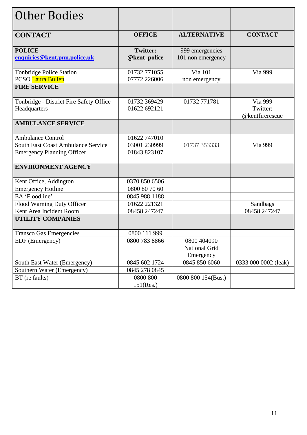| <b>Other Bodies</b>                       |                 |                    |                      |
|-------------------------------------------|-----------------|--------------------|----------------------|
|                                           |                 |                    |                      |
| <b>CONTACT</b>                            | <b>OFFICE</b>   | <b>ALTERNATIVE</b> | <b>CONTACT</b>       |
|                                           |                 |                    |                      |
| <b>POLICE</b>                             | <b>Twitter:</b> | 999 emergencies    |                      |
| enquiries@kent.pnn.police.uk              | @kent_police    | 101 non emergency  |                      |
| Tonbridge Police Station                  | 01732 771055    | Via 101            | Via 999              |
| <b>PCSO</b> Laura Bullen                  | 07772 226006    | non emergency      |                      |
| <b>FIRE SERVICE</b>                       |                 |                    |                      |
| Tonbridge - District Fire Safety Office   | 01732 369429    | 01732 771781       | Via 999              |
| Headquarters                              | 01622 692121    |                    | Twitter:             |
|                                           |                 |                    | @kentfirerescue      |
| <b>AMBULANCE SERVICE</b>                  |                 |                    |                      |
| <b>Ambulance Control</b>                  | 01622 747010    |                    |                      |
| <b>South East Coast Ambulance Service</b> | 03001 230999    | 01737 353333       | Via 999              |
| <b>Emergency Planning Officer</b>         | 01843 823107    |                    |                      |
| <b>ENVIRONMENT AGENCY</b>                 |                 |                    |                      |
| Kent Office, Addington                    | 0370 850 6506   |                    |                      |
| <b>Emergency Hotline</b>                  | 0800 80 70 60   |                    |                      |
| EA 'Floodline'                            | 0845 988 1188   |                    |                      |
| Flood Warning Duty Officer                | 01622 221321    |                    | Sandbags             |
| Kent Area Incident Room                   | 08458 247247    |                    | 08458 247247         |
| <b>UTILITY COMPANIES</b>                  |                 |                    |                      |
| <b>Transco Gas Emergencies</b>            | 0800 111 999    |                    |                      |
| EDF (Emergency)                           | 0800 783 8866   | 0800 404090        |                      |
|                                           |                 | National Grid      |                      |
|                                           |                 | Emergency          |                      |
| South East Water (Emergency)              | 0845 602 1724   | 0845 850 6060      | 0333 000 0002 (leak) |
| Southern Water (Emergency)                | 0845 278 0845   |                    |                      |
| BT (re faults)                            | 0800 800        | 0800 800 154(Bus.) |                      |
|                                           | 151(Res.)       |                    |                      |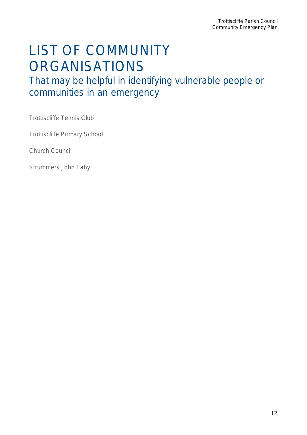## LIST OF COMMUNITY ORGANISATIONS

That may be helpful in identifying vulnerable people or communities in an emergency

Trottiscliffe Tennis Club

Trottiscliffe Primary School

Church Council

Strummers John Fahy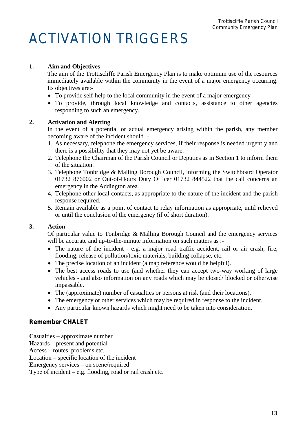# ACTIVATION TRIGGERS

#### **1. Aim and Objectives**

The aim of the Trottiscliffe Parish Emergency Plan is to make optimum use of the resources immediately available within the community in the event of a major emergency occurring. Its objectives are:-

- To provide self-help to the local community in the event of a major emergency
- To provide, through local knowledge and contacts, assistance to other agencies responding to such an emergency.

#### **2. Activation and Alerting**

In the event of a potential or actual emergency arising within the parish, any member becoming aware of the incident should :-

- 1. As necessary, telephone the emergency services, if their response is needed urgently and there is a possibility that they may not yet be aware.
- 2. Telephone the Chairman of the Parish Council or Deputies as in Section 1 to inform them of the situation.
- 3. Telephone Tonbridge & Malling Borough Council, informing the Switchboard Operator 01732 876002 or Out-of-Hours Duty Officer 01732 844522 that the call concerns an emergency in the Addington area.
- 4. Telephone other local contacts, as appropriate to the nature of the incident and the parish response required.
- 5. Remain available as a point of contact to relay information as appropriate, until relieved or until the conclusion of the emergency (if of short duration).

#### **3. Action**

Of particular value to Tonbridge & Malling Borough Council and the emergency services will be accurate and up-to-the-minute information on such matters as :-

- The nature of the incident e.g. a major road traffic accident, rail or air crash, fire, flooding, release of pollution/toxic materials, building collapse, etc.
- The precise location of an incident (a map reference would be helpful).
- The best access roads to use (and whether they can accept two-way working of large vehicles - and also information on any roads which may be closed/ blocked or otherwise impassable.
- The (approximate) number of casualties or persons at risk (and their locations).
- The emergency or other services which may be required in response to the incident.
- Any particular known hazards which might need to be taken into consideration.

#### **Remember CHALET**

**C**asualties – approximate number

**H**azards – present and potential

**A**ccess – routes, problems etc.

**L**ocation – specific location of the incident

**E**mergency services – on scene/required

**T**ype of incident – e.g. flooding, road or rail crash etc.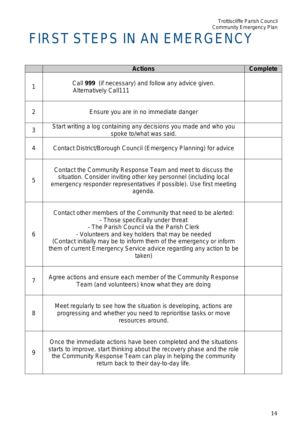# FIRST STEPS IN AN EMERGENCY

|                | <b>Actions</b>                                                                                                                                                                                                                                                                                                                                               | <b>Complete</b> |
|----------------|--------------------------------------------------------------------------------------------------------------------------------------------------------------------------------------------------------------------------------------------------------------------------------------------------------------------------------------------------------------|-----------------|
| 1              | Call 999 (if necessary) and follow any advice given.<br><b>Alternatively Call111</b>                                                                                                                                                                                                                                                                         |                 |
| 2              | Ensure you are in no immediate danger                                                                                                                                                                                                                                                                                                                        |                 |
| 3              | Start writing a log containing any decisions you made and who you<br>spoke to/what was said.                                                                                                                                                                                                                                                                 |                 |
| 4              | Contact District/Borough Council (Emergency Planning) for advice                                                                                                                                                                                                                                                                                             |                 |
| 5              | Contact the Community Response Team and meet to discuss the<br>situation. Consider inviting other key personnel (including local<br>emergency responder representatives if possible). Use first meeting<br>agenda.                                                                                                                                           |                 |
| 6              | Contact other members of the Community that need to be alerted:<br>- Those specifically under threat<br>- The Parish Council via the Parish Clerk<br>- Volunteers and key holders that may be needed<br>(Contact initially may be to inform them of the emergency or inform<br>them of current Emergency Service advice regarding any action to be<br>taken) |                 |
| $\overline{7}$ | Agree actions and ensure each member of the Community Response<br>Team (and volunteers) know what they are doing                                                                                                                                                                                                                                             |                 |
| 8              | Meet regularly to see how the situation is developing, actions are<br>progressing and whether you need to reprioritise tasks or move<br>resources around.                                                                                                                                                                                                    |                 |
| 9              | Once the immediate actions have been completed and the situations<br>starts to improve, start thinking about the recovery phase and the role<br>the Community Response Team can play in helping the community<br>return back to their day-to-day life.                                                                                                       |                 |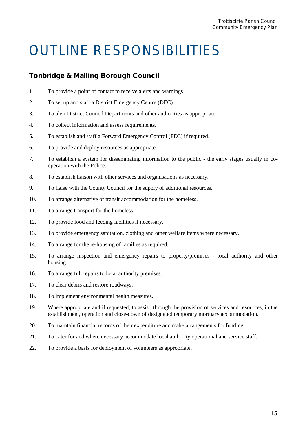# OUTLINE RESPONSIBILITIES

### **Tonbridge & Malling Borough Council**

- 1. To provide a point of contact to receive alerts and warnings.
- 2. To set up and staff a District Emergency Centre (DEC).
- 3. To alert District Council Departments and other authorities as appropriate.
- 4. To collect information and assess requirements.
- 5. To establish and staff a Forward Emergency Control (FEC) if required.
- 6. To provide and deploy resources as appropriate.
- 7. To establish a system for disseminating information to the public the early stages usually in cooperation with the Police.
- 8. To establish liaison with other services and organisations as necessary.
- 9. To liaise with the County Council for the supply of additional resources.
- 10. To arrange alternative or transit accommodation for the homeless.
- 11. To arrange transport for the homeless.
- 12. To provide food and feeding facilities if necessary.
- 13. To provide emergency sanitation, clothing and other welfare items where necessary.
- 14. To arrange for the re-housing of families as required.
- 15. To arrange inspection and emergency repairs to property/premises local authority and other housing.
- 16. To arrange full repairs to local authority premises.
- 17. To clear debris and restore roadways.
- 18. To implement environmental health measures.
- 19. Where appropriate and if requested, to assist, through the provision of services and resources, in the establishment, operation and close-down of designated temporary mortuary accommodation.
- 20. To maintain financial records of their expenditure and make arrangements for funding.
- 21. To cater for and where necessary accommodate local authority operational and service staff.
- 22. To provide a basis for deployment of volunteers as appropriate.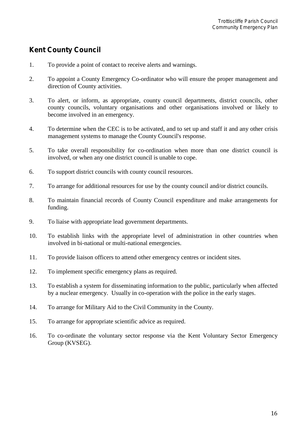### **Kent County Council**

- 1. To provide a point of contact to receive alerts and warnings.
- 2. To appoint a County Emergency Co-ordinator who will ensure the proper management and direction of County activities.
- 3. To alert, or inform, as appropriate, county council departments, district councils, other county councils, voluntary organisations and other organisations involved or likely to become involved in an emergency.
- 4. To determine when the CEC is to be activated, and to set up and staff it and any other crisis management systems to manage the County Council's response.
- 5. To take overall responsibility for co-ordination when more than one district council is involved, or when any one district council is unable to cope.
- 6. To support district councils with county council resources.
- 7. To arrange for additional resources for use by the county council and/or district councils.
- 8. To maintain financial records of County Council expenditure and make arrangements for funding.
- 9. To liaise with appropriate lead government departments.
- 10. To establish links with the appropriate level of administration in other countries when involved in bi-national or multi-national emergencies.
- 11. To provide liaison officers to attend other emergency centres or incident sites.
- 12. To implement specific emergency plans as required.
- 13. To establish a system for disseminating information to the public, particularly when affected by a nuclear emergency. Usually in co-operation with the police in the early stages.
- 14. To arrange for Military Aid to the Civil Community in the County.
- 15. To arrange for appropriate scientific advice as required.
- 16. To co-ordinate the voluntary sector response via the Kent Voluntary Sector Emergency Group (KVSEG).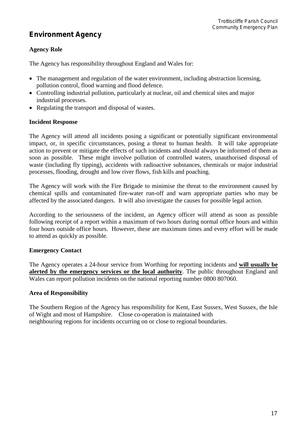### **Environment Agency**

#### **Agency Role**

The Agency has responsibility throughout England and Wales for:

- The management and regulation of the water environment, including abstraction licensing, pollution control, flood warning and flood defence.
- Controlling industrial pollution, particularly at nuclear, oil and chemical sites and major industrial processes.
- Regulating the transport and disposal of wastes.

#### **Incident Response**

The Agency will attend all incidents posing a significant or potentially significant environmental impact, or, in specific circumstances, posing a threat to human health. It will take appropriate action to prevent or mitigate the effects of such incidents and should always be informed of them as soon as possible. These might involve pollution of controlled waters, unauthorised disposal of waste (including fly tipping), accidents with radioactive substances, chemicals or major industrial processes, flooding, drought and low river flows, fish kills and poaching.

The Agency will work with the Fire Brigade to minimise the threat to the environment caused by chemical spills and contaminated fire-water run-off and warn appropriate parties who may be affected by the associated dangers. It will also investigate the causes for possible legal action.

According to the seriousness of the incident, an Agency officer will attend as soon as possible following receipt of a report within a maximum of two hours during normal office hours and within four hours outside office hours. However, these are maximum times and every effort will be made to attend as quickly as possible.

#### **Emergency Contact**

The Agency operates a 24-hour service from Worthing for reporting incidents and **will usually be alerted by the emergency services or the local authority**. The public throughout England and Wales can report pollution incidents on the national reporting number 0800 807060.

#### **Area of Responsibility**

The Southern Region of the Agency has responsibility for Kent, East Sussex, West Sussex, the Isle of Wight and most of Hampshire. Close co-operation is maintained with neighbouring regions for incidents occurring on or close to regional boundaries.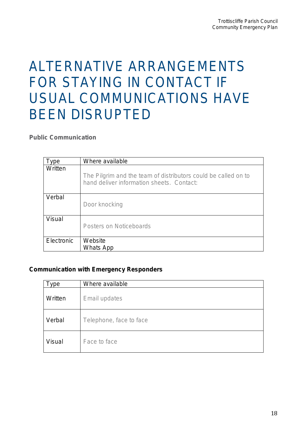## ALTERNATIVE ARRANGEMENTS FOR STAYING IN CONTACT IF USUAL COMMUNICATIONS HAVE BEEN DISRUPTED

*Public Communication*

| ype        | Where available                                                                                             |
|------------|-------------------------------------------------------------------------------------------------------------|
| Written    | The Pilgrim and the team of distributors could be called on to<br>hand deliver information sheets. Contact: |
| Verbal     | Door knocking                                                                                               |
| Visual     | <b>Posters on Noticeboards</b>                                                                              |
| Electronic | Website<br><b>Whats App</b>                                                                                 |

#### **Communication with Emergency Responders**

| ype           | Where available         |  |  |
|---------------|-------------------------|--|--|
| Written       | Email updates           |  |  |
| Verbal        | Telephone, face to face |  |  |
| <b>Visual</b> | Face to face            |  |  |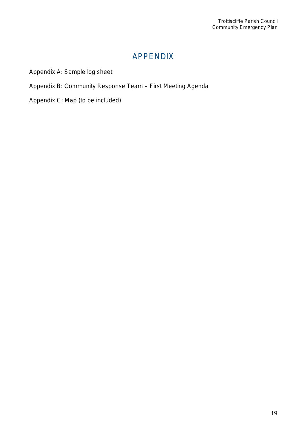### APPENDIX

Appendix A: Sample log sheet

Appendix B: Community Response Team – First Meeting Agenda

Appendix C: Map (to be included)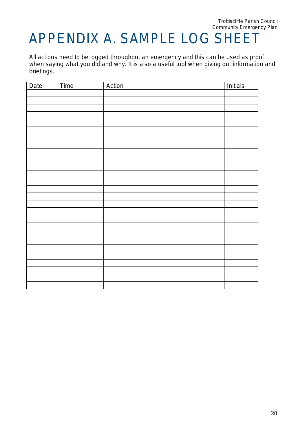## APPENDIX A. SAMPLE LOG SHEET

All actions need to be logged throughout an emergency and this can be used as proof when saying what you did and why. It is also a useful tool when giving out information and briefings.

| Date | Time | Action | <b>Initials</b> |
|------|------|--------|-----------------|
|      |      |        |                 |
|      |      |        |                 |
|      |      |        |                 |
|      |      |        |                 |
|      |      |        |                 |
|      |      |        |                 |
|      |      |        |                 |
|      |      |        |                 |
|      |      |        |                 |
|      |      |        |                 |
|      |      |        |                 |
|      |      |        |                 |
|      |      |        |                 |
|      |      |        |                 |
|      |      |        |                 |
|      |      |        |                 |
|      |      |        |                 |
|      |      |        |                 |
|      |      |        |                 |
|      |      |        |                 |
|      |      |        |                 |
|      |      |        |                 |
|      |      |        |                 |
|      |      |        |                 |
|      |      |        |                 |
|      |      |        |                 |
|      |      |        |                 |